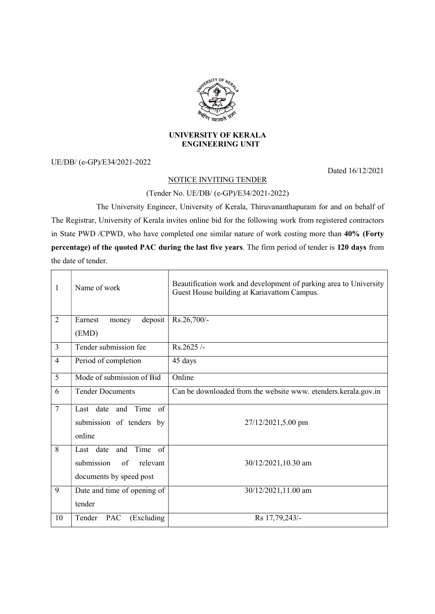

## UNIVERSITY OF KERALA ENGINEERING UNIT

UE/DB/ (e-GP)/E34/2021-2022

Dated 16/12/2021

## NOTICE INVITING TENDER

## (Tender No. UE/DB/ (e-GP)/E34/2021-2022)

 The University Engineer, University of Kerala, Thiruvananthapuram for and on behalf of The Registrar, University of Kerala invites online bid for the following work from registered contractors in State PWD /CPWD, who have completed one similar nature of work costing more than 40% (Forty percentage) of the quoted PAC during the last five years. The firm period of tender is 120 days from the date of tender.

| 1              | Name of work                         | Beautification work and development of parking area to University<br>Guest House building at Kariavattom Campus. |
|----------------|--------------------------------------|------------------------------------------------------------------------------------------------------------------|
| 2              | Earnest<br>deposit<br>money<br>(EMD) | Rs.26,700/-                                                                                                      |
| $\overline{3}$ | Tender submission fee                | Rs.2625/-                                                                                                        |
| $\overline{4}$ | Period of completion                 | 45 days                                                                                                          |
| $\overline{5}$ | Mode of submission of Bid            | Online                                                                                                           |
| 6              | <b>Tender Documents</b>              | Can be downloaded from the website www. etenders.kerala.gov.in                                                   |
| $\overline{7}$ | Last date and Time<br>of             |                                                                                                                  |
|                | submission of tenders by             | 27/12/2021,5.00 pm                                                                                               |
|                | online                               |                                                                                                                  |
| $\overline{8}$ | Time of<br>Last date and             |                                                                                                                  |
|                | submission<br>of<br>relevant         | 30/12/2021,10.30 am                                                                                              |
|                | documents by speed post              |                                                                                                                  |
| 9              | Date and time of opening of          | 30/12/2021,11.00 am                                                                                              |
|                | tender                               |                                                                                                                  |
| 10             | Tender<br>(Excluding<br>PAC          | Rs 17,79,243/-                                                                                                   |